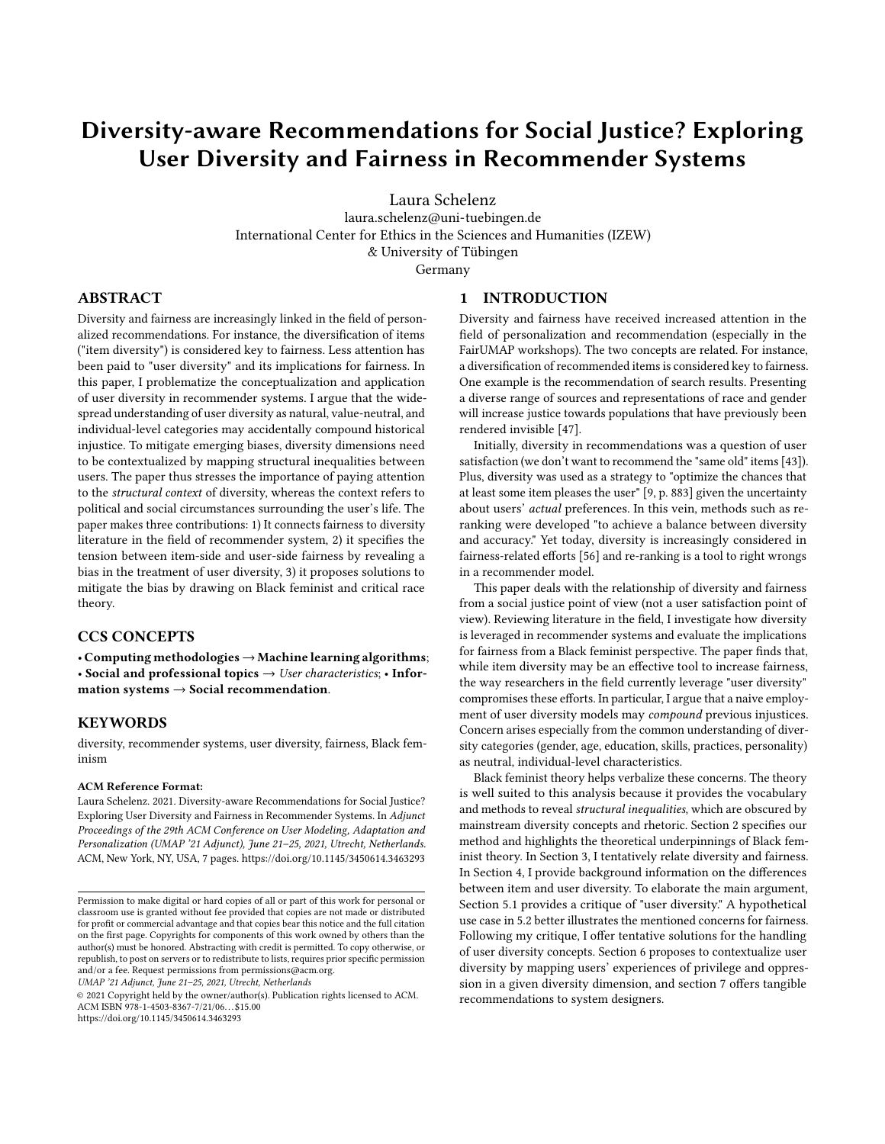# Diversity-aware Recommendations for Social Justice? Exploring User Diversity and Fairness in Recommender Systems

Laura Schelenz

laura.schelenz@uni-tuebingen.de International Center for Ethics in the Sciences and Humanities (IZEW) & University of Tübingen

Germany

## ABSTRACT

Diversity and fairness are increasingly linked in the field of personalized recommendations. For instance, the diversification of items ("item diversity") is considered key to fairness. Less attention has been paid to "user diversity" and its implications for fairness. In this paper, I problematize the conceptualization and application of user diversity in recommender systems. I argue that the widespread understanding of user diversity as natural, value-neutral, and individual-level categories may accidentally compound historical injustice. To mitigate emerging biases, diversity dimensions need to be contextualized by mapping structural inequalities between users. The paper thus stresses the importance of paying attention to the structural context of diversity, whereas the context refers to political and social circumstances surrounding the user's life. The paper makes three contributions: 1) It connects fairness to diversity literature in the field of recommender system, 2) it specifies the tension between item-side and user-side fairness by revealing a bias in the treatment of user diversity, 3) it proposes solutions to mitigate the bias by drawing on Black feminist and critical race theory.

## CCS CONCEPTS

• Computing methodologies→Machine learning algorithms; • Social and professional topics  $\rightarrow$  User characteristics; • Information systems  $\rightarrow$  Social recommendation.

## **KEYWORDS**

diversity, recommender systems, user diversity, fairness, Black feminism

#### ACM Reference Format:

Laura Schelenz. 2021. Diversity-aware Recommendations for Social Justice? Exploring User Diversity and Fairness in Recommender Systems. In Adjunct Proceedings of the 29th ACM Conference on User Modeling, Adaptation and Personalization (UMAP '21 Adjunct), June 21–25, 2021, Utrecht, Netherlands. ACM, New York, NY, USA, [7](#page-6-0) pages.<https://doi.org/10.1145/3450614.3463293>

UMAP '21 Adjunct, June 21–25, 2021, Utrecht, Netherlands

© 2021 Copyright held by the owner/author(s). Publication rights licensed to ACM. ACM ISBN 978-1-4503-8367-7/21/06. . . \$15.00 <https://doi.org/10.1145/3450614.3463293>

#### 1 INTRODUCTION

Diversity and fairness have received increased attention in the field of personalization and recommendation (especially in the FairUMAP workshops). The two concepts are related. For instance, a diversification of recommended items is considered key to fairness. One example is the recommendation of search results. Presenting a diverse range of sources and representations of race and gender will increase justice towards populations that have previously been rendered invisible [\[47\]](#page-6-1).

Initially, diversity in recommendations was a question of user satisfaction (we don't want to recommend the "same old" items [\[43\]](#page-6-2)). Plus, diversity was used as a strategy to "optimize the chances that at least some item pleases the user" [\[9,](#page-5-0) p. 883] given the uncertainty about users' actual preferences. In this vein, methods such as reranking were developed "to achieve a balance between diversity and accuracy." Yet today, diversity is increasingly considered in fairness-related efforts [\[56\]](#page-6-3) and re-ranking is a tool to right wrongs in a recommender model.

This paper deals with the relationship of diversity and fairness from a social justice point of view (not a user satisfaction point of view). Reviewing literature in the field, I investigate how diversity is leveraged in recommender systems and evaluate the implications for fairness from a Black feminist perspective. The paper finds that, while item diversity may be an effective tool to increase fairness, the way researchers in the field currently leverage "user diversity" compromises these efforts. In particular, I argue that a naive employment of user diversity models may compound previous injustices. Concern arises especially from the common understanding of diversity categories (gender, age, education, skills, practices, personality) as neutral, individual-level characteristics.

Black feminist theory helps verbalize these concerns. The theory is well suited to this analysis because it provides the vocabulary and methods to reveal structural inequalities, which are obscured by mainstream diversity concepts and rhetoric. Section [2](#page-1-0) specifies our method and highlights the theoretical underpinnings of Black feminist theory. In Section [3,](#page-1-1) I tentatively relate diversity and fairness. In Section [4,](#page-1-2) I provide background information on the differences between item and user diversity. To elaborate the main argument, Section [5.1](#page-2-0) provides a critique of "user diversity." A hypothetical use case in [5.2](#page-3-0) better illustrates the mentioned concerns for fairness. Following my critique, I offer tentative solutions for the handling of user diversity concepts. Section [6](#page-3-1) proposes to contextualize user diversity by mapping users' experiences of privilege and oppression in a given diversity dimension, and section [7](#page-4-0) offers tangible recommendations to system designers.

Permission to make digital or hard copies of all or part of this work for personal or classroom use is granted without fee provided that copies are not made or distributed for profit or commercial advantage and that copies bear this notice and the full citation on the first page. Copyrights for components of this work owned by others than the author(s) must be honored. Abstracting with credit is permitted. To copy otherwise, or republish, to post on servers or to redistribute to lists, requires prior specific permission and/or a fee. Request permissions from permissions@acm.org.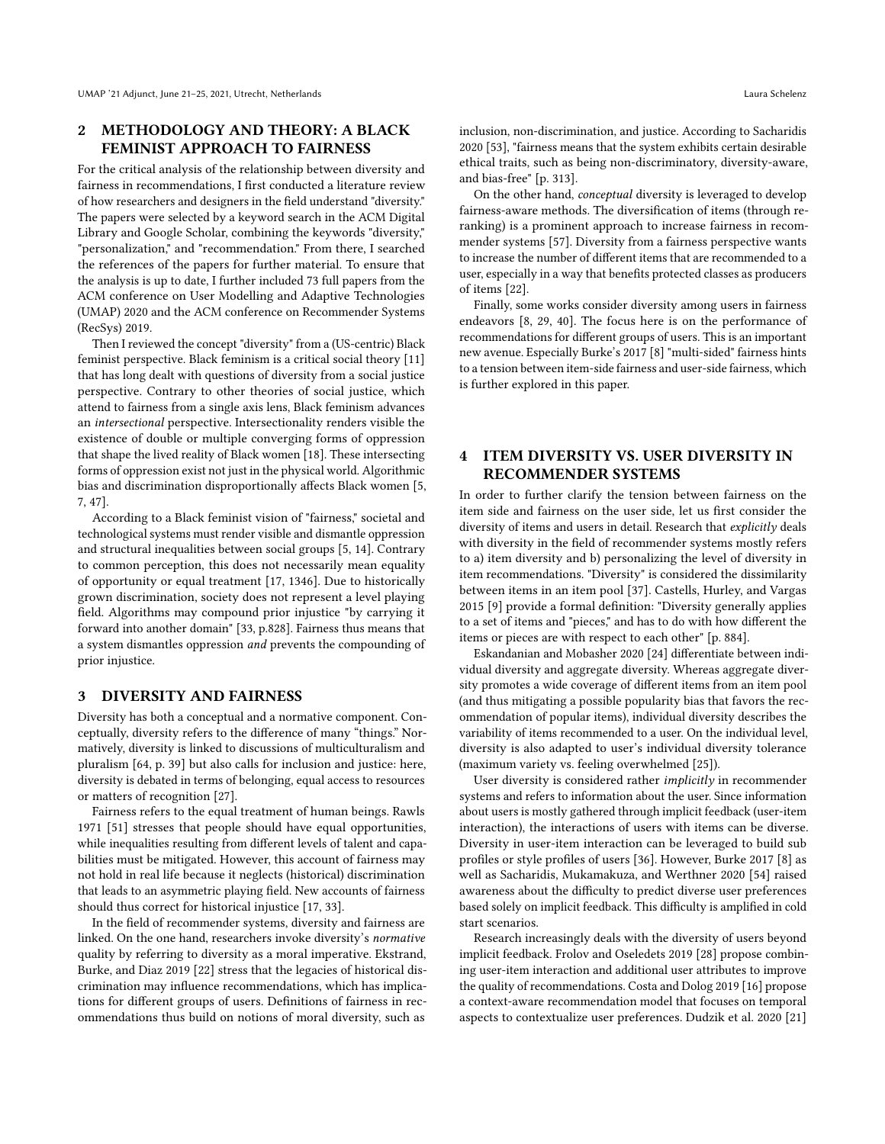### <span id="page-1-0"></span>2 METHODOLOGY AND THEORY: A BLACK FEMINIST APPROACH TO FAIRNESS

For the critical analysis of the relationship between diversity and fairness in recommendations, I first conducted a literature review of how researchers and designers in the field understand "diversity." The papers were selected by a keyword search in the ACM Digital Library and Google Scholar, combining the keywords "diversity," "personalization," and "recommendation." From there, I searched the references of the papers for further material. To ensure that the analysis is up to date, I further included 73 full papers from the ACM conference on User Modelling and Adaptive Technologies (UMAP) 2020 and the ACM conference on Recommender Systems (RecSys) 2019.

Then I reviewed the concept "diversity" from a (US-centric) Black feminist perspective. Black feminism is a critical social theory [\[11\]](#page-5-1) that has long dealt with questions of diversity from a social justice perspective. Contrary to other theories of social justice, which attend to fairness from a single axis lens, Black feminism advances an intersectional perspective. Intersectionality renders visible the existence of double or multiple converging forms of oppression that shape the lived reality of Black women [\[18\]](#page-5-2). These intersecting forms of oppression exist not just in the physical world. Algorithmic bias and discrimination disproportionally affects Black women [\[5,](#page-5-3) [7,](#page-5-4) [47\]](#page-6-1).

According to a Black feminist vision of "fairness," societal and technological systems must render visible and dismantle oppression and structural inequalities between social groups [\[5,](#page-5-3) [14\]](#page-5-5). Contrary to common perception, this does not necessarily mean equality of opportunity or equal treatment [\[17,](#page-5-6) 1346]. Due to historically grown discrimination, society does not represent a level playing field. Algorithms may compound prior injustice "by carrying it forward into another domain" [\[33,](#page-5-7) p.828]. Fairness thus means that a system dismantles oppression and prevents the compounding of prior injustice.

#### <span id="page-1-1"></span>3 DIVERSITY AND FAIRNESS

Diversity has both a conceptual and a normative component. Conceptually, diversity refers to the difference of many "things." Normatively, diversity is linked to discussions of multiculturalism and pluralism [\[64,](#page-6-4) p. 39] but also calls for inclusion and justice: here, diversity is debated in terms of belonging, equal access to resources or matters of recognition [\[27\]](#page-5-8).

Fairness refers to the equal treatment of human beings. Rawls 1971 [\[51\]](#page-6-5) stresses that people should have equal opportunities, while inequalities resulting from different levels of talent and capabilities must be mitigated. However, this account of fairness may not hold in real life because it neglects (historical) discrimination that leads to an asymmetric playing field. New accounts of fairness should thus correct for historical injustice [\[17,](#page-5-6) [33\]](#page-5-7).

In the field of recommender systems, diversity and fairness are linked. On the one hand, researchers invoke diversity's normative quality by referring to diversity as a moral imperative. Ekstrand, Burke, and Diaz 2019 [\[22\]](#page-5-9) stress that the legacies of historical discrimination may influence recommendations, which has implications for different groups of users. Definitions of fairness in recommendations thus build on notions of moral diversity, such as

inclusion, non-discrimination, and justice. According to Sacharidis 2020 [\[53\]](#page-6-6), "fairness means that the system exhibits certain desirable ethical traits, such as being non-discriminatory, diversity-aware, and bias-free" [p. 313].

On the other hand, conceptual diversity is leveraged to develop fairness-aware methods. The diversification of items (through reranking) is a prominent approach to increase fairness in recommender systems [\[57\]](#page-6-7). Diversity from a fairness perspective wants to increase the number of different items that are recommended to a user, especially in a way that benefits protected classes as producers of items [\[22\]](#page-5-9).

Finally, some works consider diversity among users in fairness endeavors [\[8,](#page-5-10) [29,](#page-5-11) [40\]](#page-6-8). The focus here is on the performance of recommendations for different groups of users. This is an important new avenue. Especially Burke's 2017 [\[8\]](#page-5-10) "multi-sided" fairness hints to a tension between item-side fairness and user-side fairness, which is further explored in this paper.

## <span id="page-1-2"></span>4 ITEM DIVERSITY VS. USER DIVERSITY IN RECOMMENDER SYSTEMS

In order to further clarify the tension between fairness on the item side and fairness on the user side, let us first consider the diversity of items and users in detail. Research that explicitly deals with diversity in the field of recommender systems mostly refers to a) item diversity and b) personalizing the level of diversity in item recommendations. "Diversity" is considered the dissimilarity between items in an item pool [\[37\]](#page-6-9). Castells, Hurley, and Vargas 2015 [\[9\]](#page-5-0) provide a formal definition: "Diversity generally applies to a set of items and "pieces," and has to do with how different the items or pieces are with respect to each other" [p. 884].

Eskandanian and Mobasher 2020 [\[24\]](#page-5-12) differentiate between individual diversity and aggregate diversity. Whereas aggregate diversity promotes a wide coverage of different items from an item pool (and thus mitigating a possible popularity bias that favors the recommendation of popular items), individual diversity describes the variability of items recommended to a user. On the individual level, diversity is also adapted to user's individual diversity tolerance (maximum variety vs. feeling overwhelmed [\[25\]](#page-5-13)).

User diversity is considered rather implicitly in recommender systems and refers to information about the user. Since information about users is mostly gathered through implicit feedback (user-item interaction), the interactions of users with items can be diverse. Diversity in user-item interaction can be leveraged to build sub profiles or style profiles of users [\[36\]](#page-5-14). However, Burke 2017 [\[8\]](#page-5-10) as well as Sacharidis, Mukamakuza, and Werthner 2020 [\[54\]](#page-6-10) raised awareness about the difficulty to predict diverse user preferences based solely on implicit feedback. This difficulty is amplified in cold start scenarios.

Research increasingly deals with the diversity of users beyond implicit feedback. Frolov and Oseledets 2019 [\[28\]](#page-5-15) propose combining user-item interaction and additional user attributes to improve the quality of recommendations. Costa and Dolog 2019 [\[16\]](#page-5-16) propose a context-aware recommendation model that focuses on temporal aspects to contextualize user preferences. Dudzik et al. 2020 [\[21\]](#page-5-17)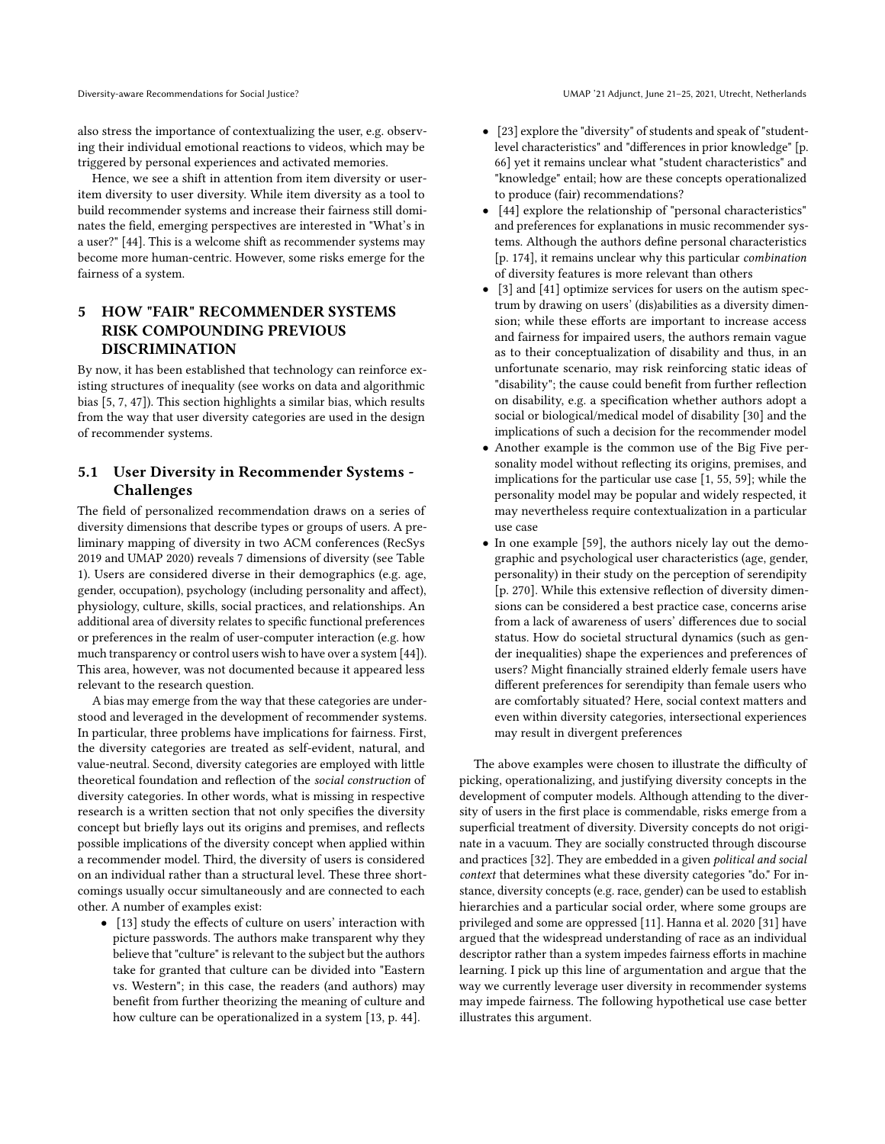also stress the importance of contextualizing the user, e.g. observing their individual emotional reactions to videos, which may be triggered by personal experiences and activated memories.

Hence, we see a shift in attention from item diversity or useritem diversity to user diversity. While item diversity as a tool to build recommender systems and increase their fairness still dominates the field, emerging perspectives are interested in "What's in a user?" [\[44\]](#page-6-11). This is a welcome shift as recommender systems may become more human-centric. However, some risks emerge for the fairness of a system.

## 5 HOW "FAIR" RECOMMENDER SYSTEMS RISK COMPOUNDING PREVIOUS DISCRIMINATION

By now, it has been established that technology can reinforce existing structures of inequality (see works on data and algorithmic bias [\[5,](#page-5-3) [7,](#page-5-4) [47\]](#page-6-1)). This section highlights a similar bias, which results from the way that user diversity categories are used in the design of recommender systems.

## <span id="page-2-0"></span>5.1 User Diversity in Recommender Systems - Challenges

The field of personalized recommendation draws on a series of diversity dimensions that describe types or groups of users. A preliminary mapping of diversity in two ACM conferences (RecSys 2019 and UMAP 2020) reveals 7 dimensions of diversity (see Table 1). Users are considered diverse in their demographics (e.g. age, gender, occupation), psychology (including personality and affect), physiology, culture, skills, social practices, and relationships. An additional area of diversity relates to specific functional preferences or preferences in the realm of user-computer interaction (e.g. how much transparency or control users wish to have over a system [\[44\]](#page-6-11)). This area, however, was not documented because it appeared less relevant to the research question.

A bias may emerge from the way that these categories are understood and leveraged in the development of recommender systems. In particular, three problems have implications for fairness. First, the diversity categories are treated as self-evident, natural, and value-neutral. Second, diversity categories are employed with little theoretical foundation and reflection of the social construction of diversity categories. In other words, what is missing in respective research is a written section that not only specifies the diversity concept but briefly lays out its origins and premises, and reflects possible implications of the diversity concept when applied within a recommender model. Third, the diversity of users is considered on an individual rather than a structural level. These three shortcomings usually occur simultaneously and are connected to each other. A number of examples exist:

• [\[13\]](#page-5-18) study the effects of culture on users' interaction with picture passwords. The authors make transparent why they believe that "culture" is relevant to the subject but the authors take for granted that culture can be divided into "Eastern vs. Western"; in this case, the readers (and authors) may benefit from further theorizing the meaning of culture and how culture can be operationalized in a system [\[13,](#page-5-18) p. 44].

- [\[23\]](#page-5-19) explore the "diversity" of students and speak of "studentlevel characteristics" and "differences in prior knowledge" [p. 66] yet it remains unclear what "student characteristics" and "knowledge" entail; how are these concepts operationalized to produce (fair) recommendations?
- [\[44\]](#page-6-11) explore the relationship of "personal characteristics" and preferences for explanations in music recommender systems. Although the authors define personal characteristics [p. 174], it remains unclear why this particular combination of diversity features is more relevant than others
- [\[3\]](#page-5-20) and [\[41\]](#page-6-12) optimize services for users on the autism spectrum by drawing on users' (dis)abilities as a diversity dimension; while these efforts are important to increase access and fairness for impaired users, the authors remain vague as to their conceptualization of disability and thus, in an unfortunate scenario, may risk reinforcing static ideas of "disability"; the cause could benefit from further reflection on disability, e.g. a specification whether authors adopt a social or biological/medical model of disability [\[30\]](#page-5-21) and the implications of such a decision for the recommender model
- Another example is the common use of the Big Five personality model without reflecting its origins, premises, and implications for the particular use case [\[1,](#page-5-22) [55,](#page-6-13) [59\]](#page-6-14); while the personality model may be popular and widely respected, it may nevertheless require contextualization in a particular use case
- In one example [\[59\]](#page-6-14), the authors nicely lay out the demographic and psychological user characteristics (age, gender, personality) in their study on the perception of serendipity [p. 270]. While this extensive reflection of diversity dimensions can be considered a best practice case, concerns arise from a lack of awareness of users' differences due to social status. How do societal structural dynamics (such as gender inequalities) shape the experiences and preferences of users? Might financially strained elderly female users have different preferences for serendipity than female users who are comfortably situated? Here, social context matters and even within diversity categories, intersectional experiences may result in divergent preferences

The above examples were chosen to illustrate the difficulty of picking, operationalizing, and justifying diversity concepts in the development of computer models. Although attending to the diversity of users in the first place is commendable, risks emerge from a superficial treatment of diversity. Diversity concepts do not originate in a vacuum. They are socially constructed through discourse and practices [\[32\]](#page-5-23). They are embedded in a given political and social context that determines what these diversity categories "do." For instance, diversity concepts (e.g. race, gender) can be used to establish hierarchies and a particular social order, where some groups are privileged and some are oppressed [\[11\]](#page-5-1). Hanna et al. 2020 [\[31\]](#page-5-24) have argued that the widespread understanding of race as an individual descriptor rather than a system impedes fairness efforts in machine learning. I pick up this line of argumentation and argue that the way we currently leverage user diversity in recommender systems may impede fairness. The following hypothetical use case better illustrates this argument.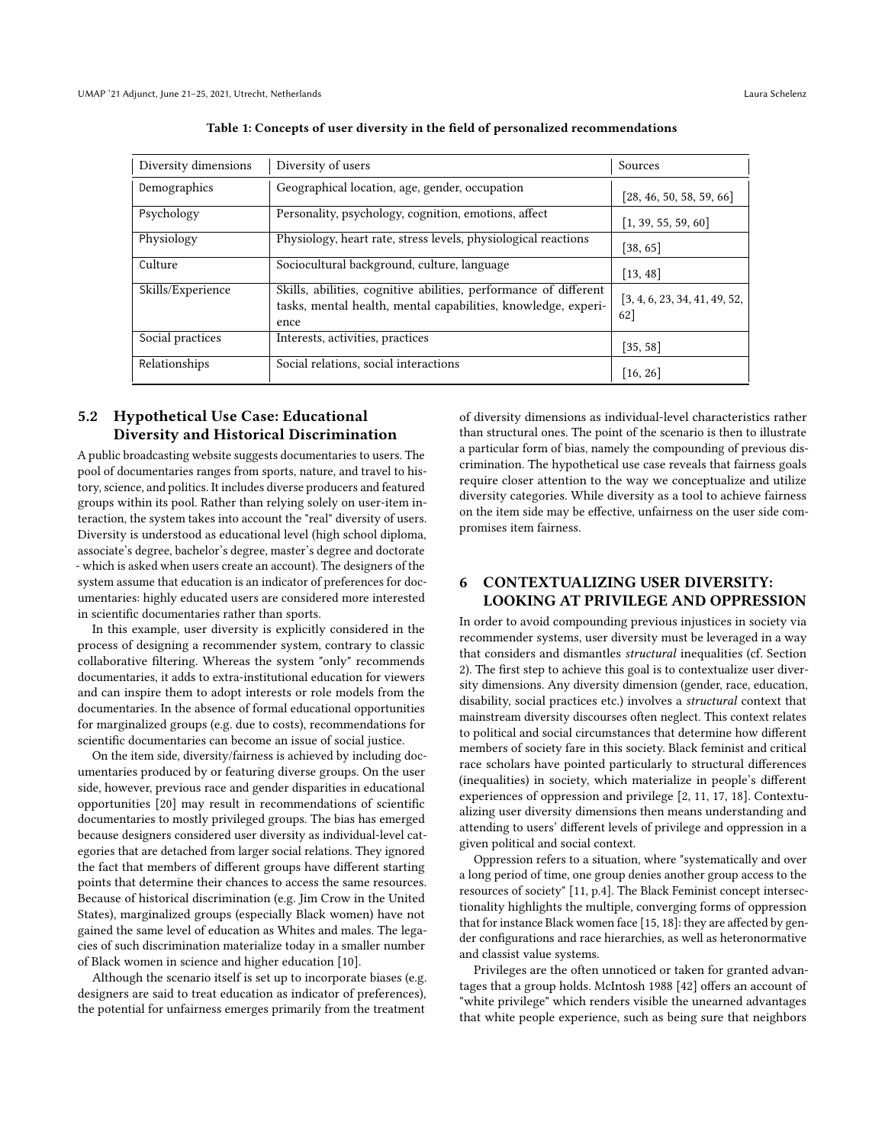| Diversity dimensions | Diversity of users                                                                                                                        | Sources                              |
|----------------------|-------------------------------------------------------------------------------------------------------------------------------------------|--------------------------------------|
| Demographics         | Geographical location, age, gender, occupation                                                                                            | [28, 46, 50, 58, 59, 66]             |
| Psychology           | Personality, psychology, cognition, emotions, affect                                                                                      | [1, 39, 55, 59, 60]                  |
| Physiology           | Physiology, heart rate, stress levels, physiological reactions                                                                            | [38, 65]                             |
| Culture              | Sociocultural background, culture, language                                                                                               | [13, 48]                             |
| Skills/Experience    | Skills, abilities, cognitive abilities, performance of different<br>tasks, mental health, mental capabilities, knowledge, experi-<br>ence | [3, 4, 6, 23, 34, 41, 49, 52,<br>62] |
| Social practices     | Interests, activities, practices                                                                                                          | [35, 58]                             |
| Relationships        | Social relations, social interactions                                                                                                     | [16, 26]                             |

Table 1: Concepts of user diversity in the field of personalized recommendations

## <span id="page-3-0"></span>5.2 Hypothetical Use Case: Educational Diversity and Historical Discrimination

A public broadcasting website suggests documentaries to users. The pool of documentaries ranges from sports, nature, and travel to history, science, and politics. It includes diverse producers and featured groups within its pool. Rather than relying solely on user-item interaction, the system takes into account the "real" diversity of users. Diversity is understood as educational level (high school diploma, associate's degree, bachelor's degree, master's degree and doctorate - which is asked when users create an account). The designers of the system assume that education is an indicator of preferences for documentaries: highly educated users are considered more interested in scientific documentaries rather than sports.

In this example, user diversity is explicitly considered in the process of designing a recommender system, contrary to classic collaborative filtering. Whereas the system "only" recommends documentaries, it adds to extra-institutional education for viewers and can inspire them to adopt interests or role models from the documentaries. In the absence of formal educational opportunities for marginalized groups (e.g. due to costs), recommendations for scientific documentaries can become an issue of social justice.

On the item side, diversity/fairness is achieved by including documentaries produced by or featuring diverse groups. On the user side, however, previous race and gender disparities in educational opportunities [\[20\]](#page-5-30) may result in recommendations of scientific documentaries to mostly privileged groups. The bias has emerged because designers considered user diversity as individual-level categories that are detached from larger social relations. They ignored the fact that members of different groups have different starting points that determine their chances to access the same resources. Because of historical discrimination (e.g. Jim Crow in the United States), marginalized groups (especially Black women) have not gained the same level of education as Whites and males. The legacies of such discrimination materialize today in a smaller number of Black women in science and higher education [\[10\]](#page-5-31).

Although the scenario itself is set up to incorporate biases (e.g. designers are said to treat education as indicator of preferences), the potential for unfairness emerges primarily from the treatment

of diversity dimensions as individual-level characteristics rather than structural ones. The point of the scenario is then to illustrate a particular form of bias, namely the compounding of previous discrimination. The hypothetical use case reveals that fairness goals require closer attention to the way we conceptualize and utilize diversity categories. While diversity as a tool to achieve fairness on the item side may be effective, unfairness on the user side compromises item fairness.

## <span id="page-3-1"></span>6 CONTEXTUALIZING USER DIVERSITY: LOOKING AT PRIVILEGE AND OPPRESSION

In order to avoid compounding previous injustices in society via recommender systems, user diversity must be leveraged in a way that considers and dismantles structural inequalities (cf. Section [2\)](#page-1-0). The first step to achieve this goal is to contextualize user diversity dimensions. Any diversity dimension (gender, race, education, disability, social practices etc.) involves a structural context that mainstream diversity discourses often neglect. This context relates to political and social circumstances that determine how different members of society fare in this society. Black feminist and critical race scholars have pointed particularly to structural differences (inequalities) in society, which materialize in people's different experiences of oppression and privilege [\[2,](#page-5-32) [11,](#page-5-1) [17,](#page-5-6) [18\]](#page-5-2). Contextualizing user diversity dimensions then means understanding and attending to users' different levels of privilege and oppression in a given political and social context.

Oppression refers to a situation, where "systematically and over a long period of time, one group denies another group access to the resources of society" [\[11,](#page-5-1) p.4]. The Black Feminist concept intersectionality highlights the multiple, converging forms of oppression that for instance Black women face [\[15,](#page-5-33) [18\]](#page-5-2): they are affected by gender configurations and race hierarchies, as well as heteronormative and classist value systems.

Privileges are the often unnoticed or taken for granted advantages that a group holds. McIntosh 1988 [\[42\]](#page-6-27) offers an account of "white privilege" which renders visible the unearned advantages that white people experience, such as being sure that neighbors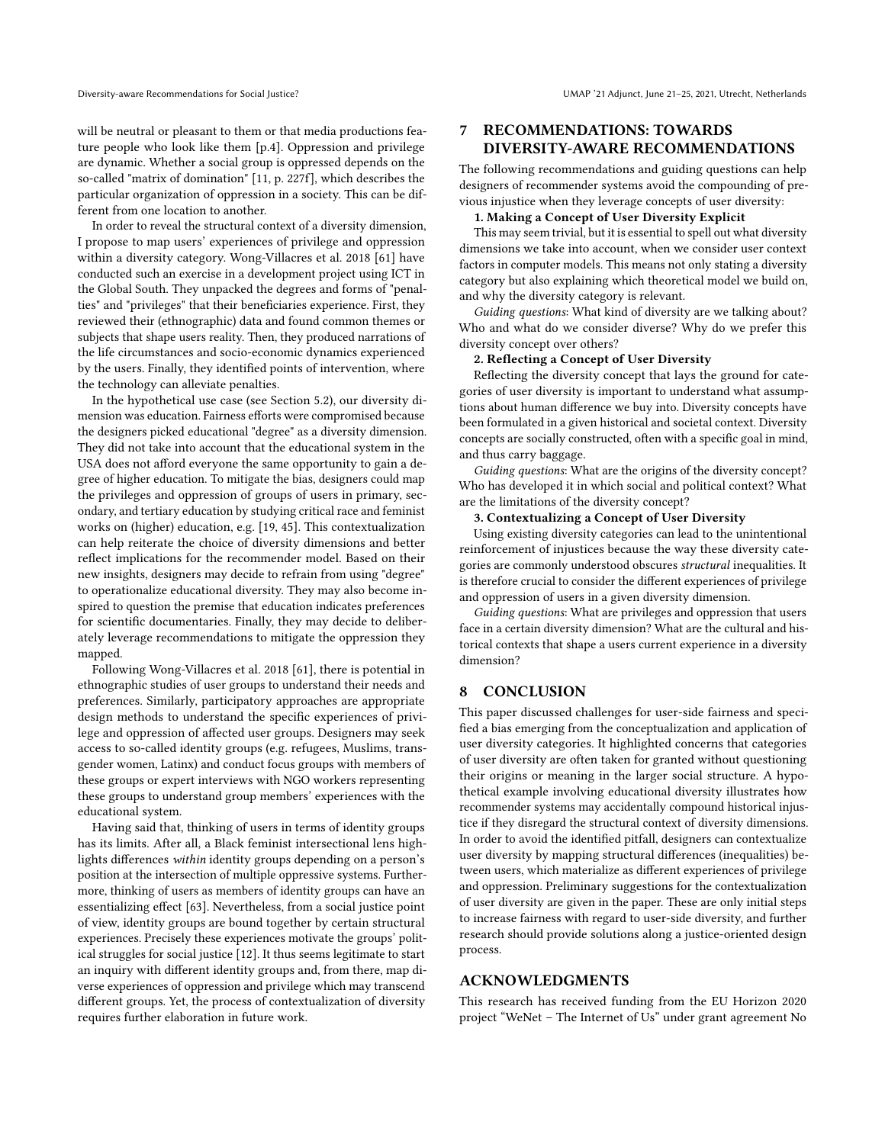will be neutral or pleasant to them or that media productions feature people who look like them [p.4]. Oppression and privilege are dynamic. Whether a social group is oppressed depends on the so-called "matrix of domination" [\[11,](#page-5-1) p. 227f], which describes the particular organization of oppression in a society. This can be different from one location to another.

In order to reveal the structural context of a diversity dimension, I propose to map users' experiences of privilege and oppression within a diversity category. Wong-Villacres et al. 2018 [\[61\]](#page-6-28) have conducted such an exercise in a development project using ICT in the Global South. They unpacked the degrees and forms of "penalties" and "privileges" that their beneficiaries experience. First, they reviewed their (ethnographic) data and found common themes or subjects that shape users reality. Then, they produced narrations of the life circumstances and socio-economic dynamics experienced by the users. Finally, they identified points of intervention, where the technology can alleviate penalties.

In the hypothetical use case (see Section [5.2\)](#page-3-0), our diversity dimension was education. Fairness efforts were compromised because the designers picked educational "degree" as a diversity dimension. They did not take into account that the educational system in the USA does not afford everyone the same opportunity to gain a degree of higher education. To mitigate the bias, designers could map the privileges and oppression of groups of users in primary, secondary, and tertiary education by studying critical race and feminist works on (higher) education, e.g. [\[19,](#page-5-34) [45\]](#page-6-29). This contextualization can help reiterate the choice of diversity dimensions and better reflect implications for the recommender model. Based on their new insights, designers may decide to refrain from using "degree" to operationalize educational diversity. They may also become inspired to question the premise that education indicates preferences for scientific documentaries. Finally, they may decide to deliberately leverage recommendations to mitigate the oppression they mapped.

Following Wong-Villacres et al. 2018 [\[61\]](#page-6-28), there is potential in ethnographic studies of user groups to understand their needs and preferences. Similarly, participatory approaches are appropriate design methods to understand the specific experiences of privilege and oppression of affected user groups. Designers may seek access to so-called identity groups (e.g. refugees, Muslims, transgender women, Latinx) and conduct focus groups with members of these groups or expert interviews with NGO workers representing these groups to understand group members' experiences with the educational system.

Having said that, thinking of users in terms of identity groups has its limits. After all, a Black feminist intersectional lens highlights differences within identity groups depending on a person's position at the intersection of multiple oppressive systems. Furthermore, thinking of users as members of identity groups can have an essentializing effect [\[63\]](#page-6-30). Nevertheless, from a social justice point of view, identity groups are bound together by certain structural experiences. Precisely these experiences motivate the groups' political struggles for social justice [\[12\]](#page-5-35). It thus seems legitimate to start an inquiry with different identity groups and, from there, map diverse experiences of oppression and privilege which may transcend different groups. Yet, the process of contextualization of diversity requires further elaboration in future work.

## <span id="page-4-0"></span>7 RECOMMENDATIONS: TOWARDS DIVERSITY-AWARE RECOMMENDATIONS

The following recommendations and guiding questions can help designers of recommender systems avoid the compounding of previous injustice when they leverage concepts of user diversity:

#### 1. Making a Concept of User Diversity Explicit

This may seem trivial, but it is essential to spell out what diversity dimensions we take into account, when we consider user context factors in computer models. This means not only stating a diversity category but also explaining which theoretical model we build on, and why the diversity category is relevant.

Guiding questions: What kind of diversity are we talking about? Who and what do we consider diverse? Why do we prefer this diversity concept over others?

#### 2. Reflecting a Concept of User Diversity

Reflecting the diversity concept that lays the ground for categories of user diversity is important to understand what assumptions about human difference we buy into. Diversity concepts have been formulated in a given historical and societal context. Diversity concepts are socially constructed, often with a specific goal in mind, and thus carry baggage.

Guiding questions: What are the origins of the diversity concept? Who has developed it in which social and political context? What are the limitations of the diversity concept?

#### 3. Contextualizing a Concept of User Diversity

Using existing diversity categories can lead to the unintentional reinforcement of injustices because the way these diversity categories are commonly understood obscures structural inequalities. It is therefore crucial to consider the different experiences of privilege and oppression of users in a given diversity dimension.

Guiding questions: What are privileges and oppression that users face in a certain diversity dimension? What are the cultural and historical contexts that shape a users current experience in a diversity dimension?

#### 8 CONCLUSION

This paper discussed challenges for user-side fairness and specified a bias emerging from the conceptualization and application of user diversity categories. It highlighted concerns that categories of user diversity are often taken for granted without questioning their origins or meaning in the larger social structure. A hypothetical example involving educational diversity illustrates how recommender systems may accidentally compound historical injustice if they disregard the structural context of diversity dimensions. In order to avoid the identified pitfall, designers can contextualize user diversity by mapping structural differences (inequalities) between users, which materialize as different experiences of privilege and oppression. Preliminary suggestions for the contextualization of user diversity are given in the paper. These are only initial steps to increase fairness with regard to user-side diversity, and further research should provide solutions along a justice-oriented design process.

#### ACKNOWLEDGMENTS

This research has received funding from the EU Horizon 2020 project "WeNet – The Internet of Us" under grant agreement No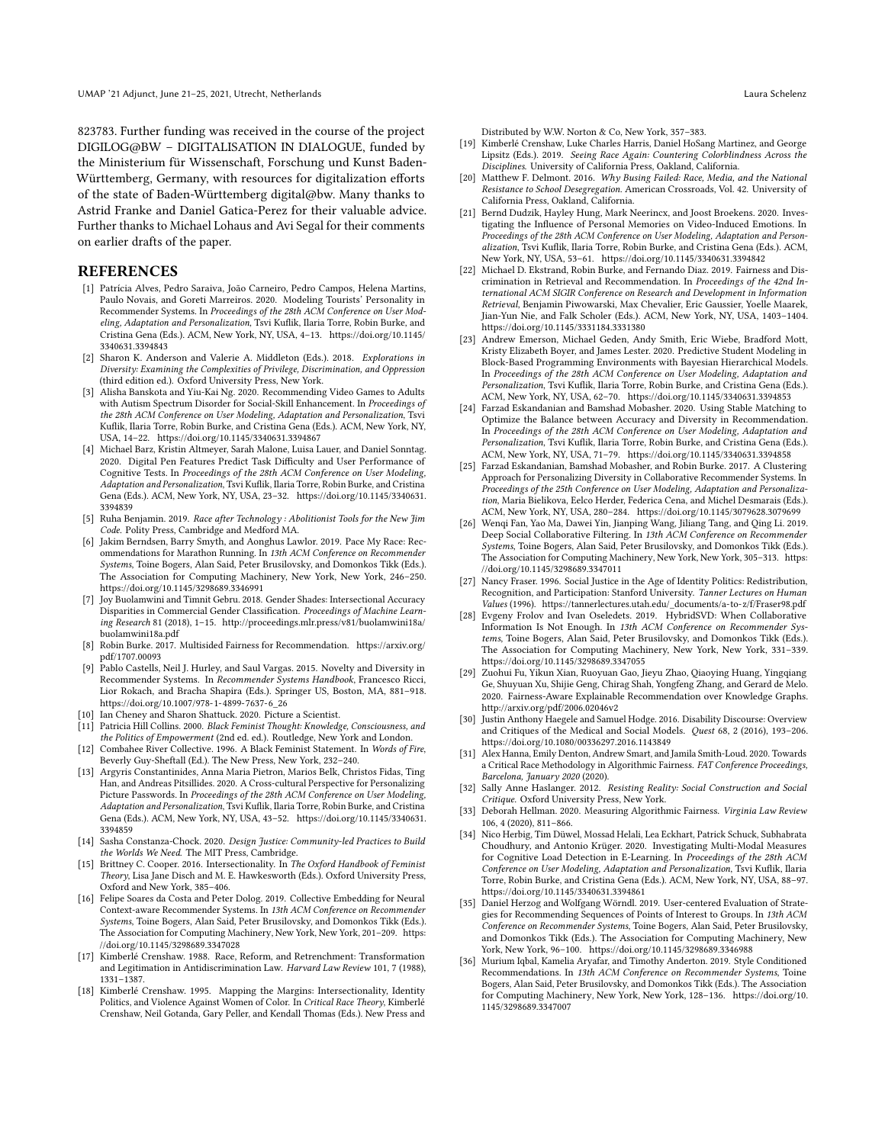823783. Further funding was received in the course of the project DIGILOG@BW – DIGITALISATION IN DIALOGUE, funded by the Ministerium für Wissenschaft, Forschung und Kunst Baden-Württemberg, Germany, with resources for digitalization efforts of the state of Baden-Württemberg digital@bw. Many thanks to Astrid Franke and Daniel Gatica-Perez for their valuable advice. Further thanks to Michael Lohaus and Avi Segal for their comments on earlier drafts of the paper.

#### REFERENCES

- <span id="page-5-22"></span>[1] Patrícia Alves, Pedro Saraiva, João Carneiro, Pedro Campos, Helena Martins, Paulo Novais, and Goreti Marreiros. 2020. Modeling Tourists' Personality in Recommender Systems. In Proceedings of the 28th ACM Conference on User Modeling, Adaptation and Personalization, Tsvi Kuflik, Ilaria Torre, Robin Burke, and Cristina Gena (Eds.). ACM, New York, NY, USA, 4–13. [https://doi.org/10.1145/](https://doi.org/10.1145/3340631.3394843) [3340631.3394843](https://doi.org/10.1145/3340631.3394843)
- <span id="page-5-32"></span>[2] Sharon K. Anderson and Valerie A. Middleton (Eds.). 2018. Explorations in Diversity: Examining the Complexities of Privilege, Discrimination, and Oppression (third edition ed.). Oxford University Press, New York.
- <span id="page-5-20"></span>[3] Alisha Banskota and Yiu-Kai Ng. 2020. Recommending Video Games to Adults with Autism Spectrum Disorder for Social-Skill Enhancement. In Proceedings of the 28th ACM Conference on User Modeling, Adaptation and Personalization, Tsvi Kuflik, Ilaria Torre, Robin Burke, and Cristina Gena (Eds.). ACM, New York, NY, USA, 14–22.<https://doi.org/10.1145/3340631.3394867>
- <span id="page-5-25"></span>[4] Michael Barz, Kristin Altmeyer, Sarah Malone, Luisa Lauer, and Daniel Sonntag. 2020. Digital Pen Features Predict Task Difficulty and User Performance of Cognitive Tests. In Proceedings of the 28th ACM Conference on User Modeling, Adaptation and Personalization, Tsvi Kuflik, Ilaria Torre, Robin Burke, and Cristina Gena (Eds.). ACM, New York, NY, USA, 23–32. [https://doi.org/10.1145/3340631.](https://doi.org/10.1145/3340631.3394839) [3394839](https://doi.org/10.1145/3340631.3394839)
- <span id="page-5-3"></span>[5] Ruha Benjamin. 2019. Race after Technology : Abolitionist Tools for the New Jim Code. Polity Press, Cambridge and Medford MA.
- <span id="page-5-26"></span>[6] Jakim Berndsen, Barry Smyth, and Aonghus Lawlor. 2019. Pace My Race: Recommendations for Marathon Running. In 13th ACM Conference on Recommender Systems, Toine Bogers, Alan Said, Peter Brusilovsky, and Domonkos Tikk (Eds.). The Association for Computing Machinery, New York, New York, 246–250. <https://doi.org/10.1145/3298689.3346991>
- <span id="page-5-4"></span>[7] Joy Buolamwini and Timnit Gebru. 2018. Gender Shades: Intersectional Accuracy Disparities in Commercial Gender Classification. Proceedings of Machine Learning Research 81 (2018), 1–15. [http://proceedings.mlr.press/v81/buolamwini18a/](http://proceedings.mlr.press/v81/buolamwini18a/buolamwini18a.pdf) [buolamwini18a.pdf](http://proceedings.mlr.press/v81/buolamwini18a/buolamwini18a.pdf)
- <span id="page-5-10"></span>[8] Robin Burke. 2017. Multisided Fairness for Recommendation. [https://arxiv.org/](https://arxiv.org/pdf/1707.00093) [pdf/1707.00093](https://arxiv.org/pdf/1707.00093)
- <span id="page-5-0"></span>[9] Pablo Castells, Neil J. Hurley, and Saul Vargas. 2015. Novelty and Diversity in Recommender Systems. In Recommender Systems Handbook, Francesco Ricci, Lior Rokach, and Bracha Shapira (Eds.). Springer US, Boston, MA, 881–918. [https://doi.org/10.1007/978-1-4899-7637-6\\_26](https://doi.org/10.1007/978-1-4899-7637-6_26)
- <span id="page-5-31"></span>[10] Ian Cheney and Sharon Shattuck. 2020. Picture a Scientist.
- <span id="page-5-1"></span>[11] Patricia Hill Collins. 2000. Black Feminist Thought: Knowledge, Consciousness, and the Politics of Empowerment (2nd ed. ed.). Routledge, New York and London. [12] Combahee River Collective. 1996. A Black Feminist Statement. In Words of Fire,
- <span id="page-5-35"></span>Beverly Guy-Sheftall (Ed.). The New Press, New York, 232–240.
- <span id="page-5-18"></span>[13] Argyris Constantinides, Anna Maria Pietron, Marios Belk, Christos Fidas, Ting Han, and Andreas Pitsillides. 2020. A Cross-cultural Perspective for Personalizing Picture Passwords. In Proceedings of the 28th ACM Conference on User Modeling, Adaptation and Personalization, Tsvi Kuflik, Ilaria Torre, Robin Burke, and Cristina Gena (Eds.). ACM, New York, NY, USA, 43–52. [https://doi.org/10.1145/3340631.](https://doi.org/10.1145/3340631.3394859) [3394859](https://doi.org/10.1145/3340631.3394859)
- <span id="page-5-5"></span>[14] Sasha Constanza-Chock. 2020. Design Justice: Community-led Practices to Build the Worlds We Need. The MIT Press, Cambridge.
- <span id="page-5-33"></span>[15] Brittney C. Cooper. 2016. Intersectionality. In The Oxford Handbook of Feminist Theory, Lisa Jane Disch and M. E. Hawkesworth (Eds.). Oxford University Press, Oxford and New York, 385–406.
- <span id="page-5-16"></span>[16] Felipe Soares da Costa and Peter Dolog. 2019. Collective Embedding for Neural Context-aware Recommender Systems. In 13th ACM Conference on Recommender Systems, Toine Bogers, Alan Said, Peter Brusilovsky, and Domonkos Tikk (Eds.). The Association for Computing Machinery, New York, New York, 201–209. [https:](https://doi.org/10.1145/3298689.3347028) [//doi.org/10.1145/3298689.3347028](https://doi.org/10.1145/3298689.3347028)
- <span id="page-5-6"></span>[17] Kimberlé Crenshaw. 1988. Race, Reform, and Retrenchment: Transformation and Legitimation in Antidiscrimination Law. Harvard Law Review 101, 7 (1988), 1331–1387.
- <span id="page-5-2"></span>[18] Kimberlé Crenshaw. 1995. Mapping the Margins: Intersectionality, Identity Politics, and Violence Against Women of Color. In Critical Race Theory, Kimberlé Crenshaw, Neil Gotanda, Gary Peller, and Kendall Thomas (Eds.). New Press and

Distributed by W.W. Norton & Co, New York, 357–383.

- <span id="page-5-34"></span>[19] Kimberlé Crenshaw, Luke Charles Harris, Daniel HoSang Martinez, and George Lipsitz (Eds.). 2019. Seeing Race Again: Countering Colorblindness Across the Disciplines. University of California Press, Oakland, California.
- <span id="page-5-30"></span>[20] Matthew F. Delmont. 2016. Why Busing Failed: Race, Media, and the National Resistance to School Desegregation. American Crossroads, Vol. 42. University of California Press, Oakland, California.
- <span id="page-5-17"></span>[21] Bernd Dudzik, Hayley Hung, Mark Neerincx, and Joost Broekens. 2020. Investigating the Influence of Personal Memories on Video-Induced Emotions. In Proceedings of the 28th ACM Conference on User Modeling, Adaptation and Personalization, Tsvi Kuflik, Ilaria Torre, Robin Burke, and Cristina Gena (Eds.). ACM, New York, NY, USA, 53–61.<https://doi.org/10.1145/3340631.3394842>
- <span id="page-5-9"></span>[22] Michael D. Ekstrand, Robin Burke, and Fernando Diaz. 2019. Fairness and Discrimination in Retrieval and Recommendation. In Proceedings of the 42nd International ACM SIGIR Conference on Research and Development in Information Retrieval, Benjamin Piwowarski, Max Chevalier, Eric Gaussier, Yoelle Maarek, Jian-Yun Nie, and Falk Scholer (Eds.). ACM, New York, NY, USA, 1403–1404. <https://doi.org/10.1145/3331184.3331380>
- <span id="page-5-19"></span>[23] Andrew Emerson, Michael Geden, Andy Smith, Eric Wiebe, Bradford Mott, Kristy Elizabeth Boyer, and James Lester. 2020. Predictive Student Modeling in Block-Based Programming Environments with Bayesian Hierarchical Models. In Proceedings of the 28th ACM Conference on User Modeling, Adaptation and Personalization, Tsvi Kuflik, Ilaria Torre, Robin Burke, and Cristina Gena (Eds.). ACM, New York, NY, USA, 62–70.<https://doi.org/10.1145/3340631.3394853>
- <span id="page-5-12"></span>[24] Farzad Eskandanian and Bamshad Mobasher. 2020. Using Stable Matching to Optimize the Balance between Accuracy and Diversity in Recommendation. In Proceedings of the 28th ACM Conference on User Modeling, Adaptation and Personalization, Tsvi Kuflik, Ilaria Torre, Robin Burke, and Cristina Gena (Eds.). ACM, New York, NY, USA, 71–79.<https://doi.org/10.1145/3340631.3394858>
- <span id="page-5-13"></span>[25] Farzad Eskandanian, Bamshad Mobasher, and Robin Burke. 2017. A Clustering Approach for Personalizing Diversity in Collaborative Recommender Systems. In Proceedings of the 25th Conference on User Modeling, Adaptation and Personalization, Maria Bielikova, Eelco Herder, Federica Cena, and Michel Desmarais (Eds.). ACM, New York, NY, USA, 280–284.<https://doi.org/10.1145/3079628.3079699>
- <span id="page-5-29"></span>[26] Wenqi Fan, Yao Ma, Dawei Yin, Jianping Wang, Jiliang Tang, and Qing Li. 2019. Deep Social Collaborative Filtering. In 13th ACM Conference on Recommender Systems, Toine Bogers, Alan Said, Peter Brusilovsky, and Domonkos Tikk (Eds.). The Association for Computing Machinery, New York, New York, 305–313. [https:](https://doi.org/10.1145/3298689.3347011) [//doi.org/10.1145/3298689.3347011](https://doi.org/10.1145/3298689.3347011)
- <span id="page-5-8"></span>[27] Nancy Fraser. 1996. Social Justice in the Age of Identity Politics: Redistribution, Recognition, and Participation: Stanford University. Tanner Lectures on Human Values (1996). [https://tannerlectures.utah.edu/\\_documents/a-to-z/f/Fraser98.pdf](https://tannerlectures.utah.edu/_documents/a-to-z/f/Fraser98.pdf)
- <span id="page-5-15"></span>[28] Evgeny Frolov and Ivan Oseledets. 2019. HybridSVD: When Collaborative Information Is Not Enough. In 13th ACM Conference on Recommender Systems, Toine Bogers, Alan Said, Peter Brusilovsky, and Domonkos Tikk (Eds.). The Association for Computing Machinery, New York, New York, 331–339. <https://doi.org/10.1145/3298689.3347055>
- <span id="page-5-11"></span>[29] Zuohui Fu, Yikun Xian, Ruoyuan Gao, Jieyu Zhao, Qiaoying Huang, Yingqiang Ge, Shuyuan Xu, Shijie Geng, Chirag Shah, Yongfeng Zhang, and Gerard de Melo. 2020. Fairness-Aware Explainable Recommendation over Knowledge Graphs. <http://arxiv.org/pdf/2006.02046v2>
- <span id="page-5-21"></span>[30] Justin Anthony Haegele and Samuel Hodge. 2016. Disability Discourse: Overview and Critiques of the Medical and Social Models. Quest 68, 2 (2016), 193–206. <https://doi.org/10.1080/00336297.2016.1143849>
- <span id="page-5-24"></span>[31] Alex Hanna, Emily Denton, Andrew Smart, and Jamila Smith-Loud. 2020. Towards a Critical Race Methodology in Algorithmic Fairness. FAT Conference Proceedings, Barcelona, January 2020 (2020).
- <span id="page-5-23"></span>[32] Sally Anne Haslanger. 2012. Resisting Reality: Social Construction and Social Critique. Oxford University Press, New York.
- <span id="page-5-7"></span>[33] Deborah Hellman. 2020. Measuring Algorithmic Fairness. Virginia Law Review 106, 4 (2020), 811–866.
- <span id="page-5-27"></span>[34] Nico Herbig, Tim Düwel, Mossad Helali, Lea Eckhart, Patrick Schuck, Subhabrata Choudhury, and Antonio Krüger. 2020. Investigating Multi-Modal Measures for Cognitive Load Detection in E-Learning. In Proceedings of the 28th ACM Conference on User Modeling, Adaptation and Personalization, Tsvi Kuflik, Ilaria Torre, Robin Burke, and Cristina Gena (Eds.). ACM, New York, NY, USA, 88–97. <https://doi.org/10.1145/3340631.3394861>
- <span id="page-5-28"></span>[35] Daniel Herzog and Wolfgang Wörndl. 2019. User-centered Evaluation of Strategies for Recommending Sequences of Points of Interest to Groups. In 13th ACM Conference on Recommender Systems, Toine Bogers, Alan Said, Peter Brusilovsky, and Domonkos Tikk (Eds.). The Association for Computing Machinery, New York, New York, 96–100.<https://doi.org/10.1145/3298689.3346988>
- <span id="page-5-14"></span>[36] Murium Iqbal, Kamelia Aryafar, and Timothy Anderton. 2019. Style Conditioned Recommendations. In 13th ACM Conference on Recommender Systems, Toine Bogers, Alan Said, Peter Brusilovsky, and Domonkos Tikk (Eds.). The Association for Computing Machinery, New York, New York, 128–136. [https://doi.org/10.](https://doi.org/10.1145/3298689.3347007) [1145/3298689.3347007](https://doi.org/10.1145/3298689.3347007)